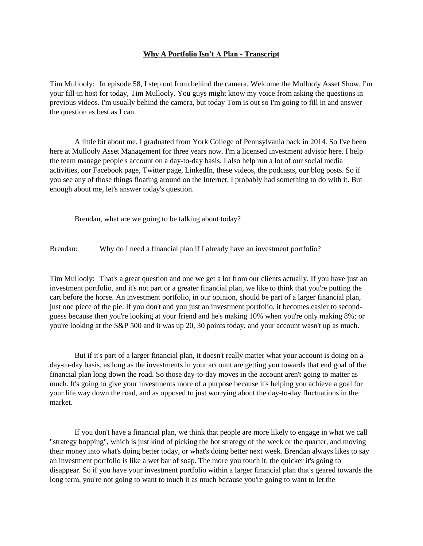## **Why A Portfolio Isn't A Plan - Transcript**

Tim Mullooly: In episode 58, I step out from behind the camera. Welcome the Mullooly Asset Show. I'm your fill-in host for today, Tim Mullooly. You guys might know my voice from asking the questions in previous videos. I'm usually behind the camera, but today Tom is out so I'm going to fill in and answer the question as best as I can.

A little bit about me. I graduated from York College of Pennsylvania back in 2014. So I've been here at Mullooly Asset Management for three years now. I'm a licensed investment advisor here. I help the team manage people's account on a day-to-day basis. I also help run a lot of our social media activities, our Facebook page, Twitter page, LinkedIn, these videos, the podcasts, our blog posts. So if you see any of those things floating around on the Internet, I probably had something to do with it. But enough about me, let's answer today's question.

Brendan, what are we going to be talking about today?

Brendan: Why do I need a financial plan if I already have an investment portfolio?

Tim Mullooly: That's a great question and one we get a lot from our clients actually. If you have just an investment portfolio, and it's not part or a greater financial plan, we like to think that you're putting the cart before the horse. An investment portfolio, in our opinion, should be part of a larger financial plan, just one piece of the pie. If you don't and you just an investment portfolio, it becomes easier to secondguess because then you're looking at your friend and he's making 10% when you're only making 8%; or you're looking at the S&P 500 and it was up 20, 30 points today, and your account wasn't up as much.

But if it's part of a larger financial plan, it doesn't really matter what your account is doing on a day-to-day basis, as long as the investments in your account are getting you towards that end goal of the financial plan long down the road. So those day-to-day moves in the account aren't going to matter as much. It's going to give your investments more of a purpose because it's helping you achieve a goal for your life way down the road, and as opposed to just worrying about the day-to-day fluctuations in the market.

If you don't have a financial plan, we think that people are more likely to engage in what we call "strategy hopping", which is just kind of picking the hot strategy of the week or the quarter, and moving their money into what's doing better today, or what's doing better next week. Brendan always likes to say an investment portfolio is like a wet bar of soap. The more you touch it, the quicker it's going to disappear. So if you have your investment portfolio within a larger financial plan that's geared towards the long term, you're not going to want to touch it as much because you're going to want to let the